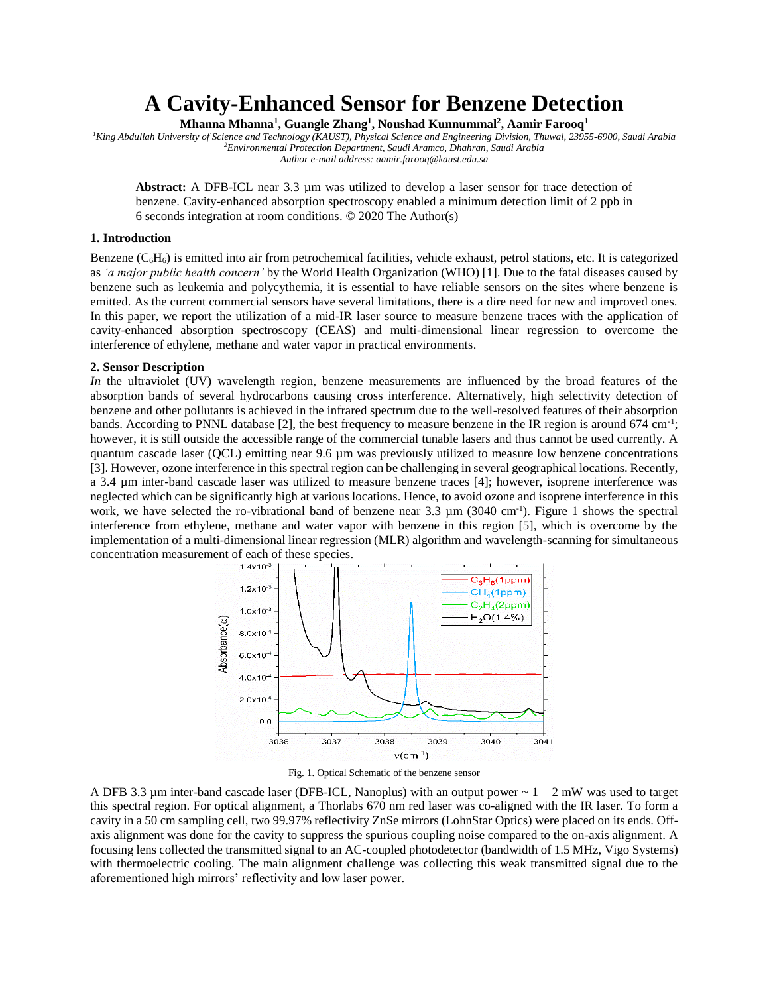# **A Cavity-Enhanced Sensor for Benzene Detection**

**Mhanna Mhanna<sup>1</sup> , Guangle Zhang<sup>1</sup> , Noushad Kunnummal<sup>2</sup> , Aamir Farooq<sup>1</sup>**

*<sup>1</sup>King Abdullah University of Science and Technology (KAUST), Physical Science and Engineering Division, Thuwal, 23955-6900, Saudi Arabia <sup>2</sup>Environmental Protection Department, Saudi Aramco, Dhahran, Saudi Arabia Author e-mail address: aamir.farooq@kaust.edu.sa*

Abstract: A DFB-ICL near 3.3  $\mu$ m was utilized to develop a laser sensor for trace detection of benzene. Cavity-enhanced absorption spectroscopy enabled a minimum detection limit of 2 ppb in 6 seconds integration at room conditions. © 2020 The Author(s)

#### **1. Introduction**

Benzene  $(C_6H_6)$  is emitted into air from petrochemical facilities, vehicle exhaust, petrol stations, etc. It is categorized as *'a major public health concern'* by the World Health Organization (WHO) [1]. Due to the fatal diseases caused by benzene such as leukemia and polycythemia, it is essential to have reliable sensors on the sites where benzene is emitted. As the current commercial sensors have several limitations, there is a dire need for new and improved ones. In this paper, we report the utilization of a mid-IR laser source to measure benzene traces with the application of cavity-enhanced absorption spectroscopy (CEAS) and multi-dimensional linear regression to overcome the interference of ethylene, methane and water vapor in practical environments.

#### **2. Sensor Description**

*In* the ultraviolet (UV) wavelength region, benzene measurements are influenced by the broad features of the absorption bands of several hydrocarbons causing cross interference. Alternatively, high selectivity detection of benzene and other pollutants is achieved in the infrared spectrum due to the well-resolved features of their absorption bands. According to PNNL database [2], the best frequency to measure benzene in the IR region is around 674 cm<sup>-1</sup>; however, it is still outside the accessible range of the commercial tunable lasers and thus cannot be used currently. A quantum cascade laser (QCL) emitting near 9.6 µm was previously utilized to measure low benzene concentrations [3]. However, ozone interference in this spectral region can be challenging in several geographical locations. Recently, a 3.4 µm inter-band cascade laser was utilized to measure benzene traces [4]; however, isoprene interference was neglected which can be significantly high at various locations. Hence, to avoid ozone and isoprene interference in this work, we have selected the ro-vibrational band of benzene near 3.3  $\mu$ m (3040 cm<sup>-1</sup>). Figure 1 shows the spectral interference from ethylene, methane and water vapor with benzene in this region [5], which is overcome by the implementation of a multi-dimensional linear regression (MLR) algorithm and wavelength-scanning for simultaneous concentration measurement of each of these species.



Fig. 1. Optical Schematic of the benzene sensor

A DFB 3.3  $\mu$ m inter-band cascade laser (DFB-ICL, Nanoplus) with an output power  $\sim 1 - 2$  mW was used to target this spectral region. For optical alignment, a Thorlabs 670 nm red laser was co-aligned with the IR laser. To form a cavity in a 50 cm sampling cell, two 99.97% reflectivity ZnSe mirrors (LohnStar Optics) were placed on its ends. Offaxis alignment was done for the cavity to suppress the spurious coupling noise compared to the on-axis alignment. A focusing lens collected the transmitted signal to an AC-coupled photodetector (bandwidth of 1.5 MHz, Vigo Systems) with thermoelectric cooling. The main alignment challenge was collecting this weak transmitted signal due to the aforementioned high mirrors' reflectivity and low laser power.